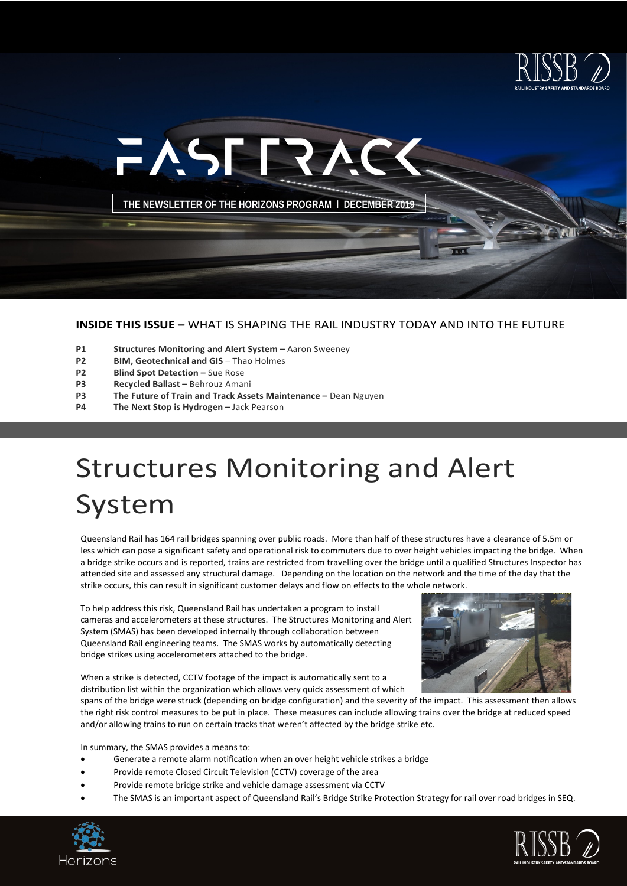



#### **INSIDE THIS ISSUE –** WHAT IS SHAPING THE RAIL INDUSTRY TODAY AND INTO THE FUTURE

- **P1 Structures Monitoring and Alert System –** Aaron Sweeney
- **P2 BIM, Geotechnical and GIS** Thao Holmes<br>**P2 Blind Spot Detection Sue Rose**
- **P2 Blind Spot Detection –** Sue Rose<br>**P3 Recycled Ballast –** Behrouz Ama
- **P3 Recycled Ballast –** Behrouz Amani
- **P3 The Future of Train and Track Assets Maintenance –** Dean Nguyen<br>**P4 The Next Stop is Hydrogen –** Jack Pearson
- **The Next Stop is Hydrogen -** Jack Pearson

## Structures Monitoring and Alert System

Queensland Rail has 164 rail bridges spanning over public roads. More than half of these structures have a clearance of 5.5m or less which can pose a significant safety and operational risk to commuters due to over height vehicles impacting the bridge. When a bridge strike occurs and is reported, trains are restricted from travelling over the bridge until a qualified Structures Inspector has attended site and assessed any structural damage. Depending on the location on the network and the time of the day that the strike occurs, this can result in significant customer delays and flow on effects to the whole network.

To help address this risk, Queensland Rail has undertaken a program to install cameras and accelerometers at these structures. The Structures Monitoring and Alert System (SMAS) has been developed internally through collaboration between Queensland Rail engineering teams. The SMAS works by automatically detecting bridge strikes using accelerometers attached to the bridge.



When a strike is detected, CCTV footage of the impact is automatically sent to a distribution list within the organization which allows very quick assessment of which

spans of the bridge were struck (depending on bridge configuration) and the severity of the impact. This assessment then allows the right risk control measures to be put in place. These measures can include allowing trains over the bridge at reduced speed and/or allowing trains to run on certain tracks that weren't affected by the bridge strike etc.

In summary, the SMAS provides a means to:

- Generate a remote alarm notification when an over height vehicle strikes a bridge
- Provide remote Closed Circuit Television (CCTV) coverage of the area
- Provide remote bridge strike and vehicle damage assessment via CCTV
- The SMAS is an important aspect of Queensland Rail's Bridge Strike Protection Strategy for rail over road bridges in SEQ.



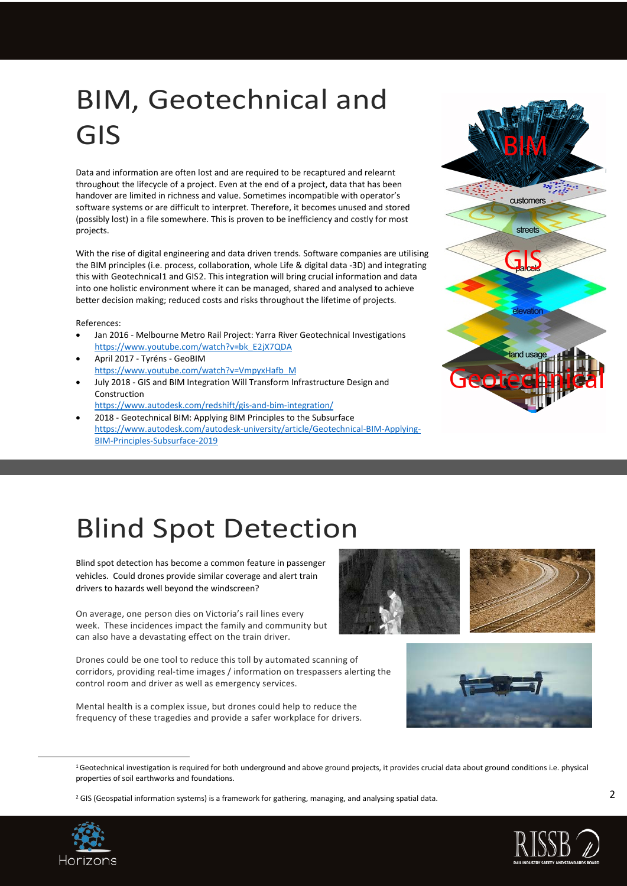## BIM, Geotechnical and GIS

Data and information are often lost and are required to be recaptured and relearnt throughout the lifecycle of a project. Even at the end of a project, data that has been handover are limited in richness and value. Sometimes incompatible with operator's software systems or are difficult to interpret. Therefore, it becomes unused and stored (possibly lost) in a file somewhere. This is proven to be inefficiency and costly for most projects.

With the rise of digital engineering and data driven trends. Software companies are utilising the BIM principles (i.e. process, collaboration, whole Life & digital data -3D) and integrating this with Geotechnical[1](#page-1-0) and GIS[2.](#page-1-1) This integration will bring crucial information and data into one holistic environment where it can be managed, shared and analysed to achieve better decision making; reduced costs and risks throughout the lifetime of projects.

References:

- Jan 2016 Melbourne Metro Rail Project: Yarra River Geotechnical Investigations [https://www.youtube.com/watch?v=bk\\_E2jX7QDA](https://www.youtube.com/watch?v=bk_E2jX7QDA)
- April 2017 Tyréns GeoBIM [https://www.youtube.com/watch?v=VmpyxHafb\\_M](https://www.youtube.com/watch?v=VmpyxHafb_M)
- July 2018 GIS and BIM Integration Will Transform Infrastructure Design and Construction

<https://www.autodesk.com/redshift/gis-and-bim-integration/>

• 2018 - Geotechnical BIM: Applying BIM Principles to the Subsurface [https://www.autodesk.com/autodesk-university/article/Geotechnical-BIM-Applying-](https://www.autodesk.com/autodesk-university/article/Geotechnical-BIM-Applying-BIM-Principles-Subsurface-2019)[BIM-Principles-Subsurface-2019](https://www.autodesk.com/autodesk-university/article/Geotechnical-BIM-Applying-BIM-Principles-Subsurface-2019)



## Blind Spot Detection

Blind spot detection has become a common feature in passenger vehicles. Could drones provide similar coverage and alert train drivers to hazards well beyond the windscreen?

On average, one person dies on Victoria's rail lines every week. These incidences impact the family and community but can also have a devastating effect on the train driver.

Drones could be one tool to reduce this toll by automated scanning of corridors, providing real-time images / information on trespassers alerting the control room and driver as well as emergency services.

Mental health is a complex issue, but drones could help to reduce the frequency of these tragedies and provide a safer workplace for drivers.





 $1$ Geotechnical investigation is required for both underground and above ground projects, it provides crucial data about ground conditions i.e. physical properties of soil [earthworks](https://en.wikipedia.org/wiki/Earthworks_(engineering)) an[d foundations.](https://en.wikipedia.org/wiki/Foundation_(architecture)) 

<span id="page-1-1"></span><span id="page-1-0"></span><sup>&</sup>lt;sup>2</sup> GIS (Geospatial information systems) is a framework for gathering, managing, and analysing spatial data.



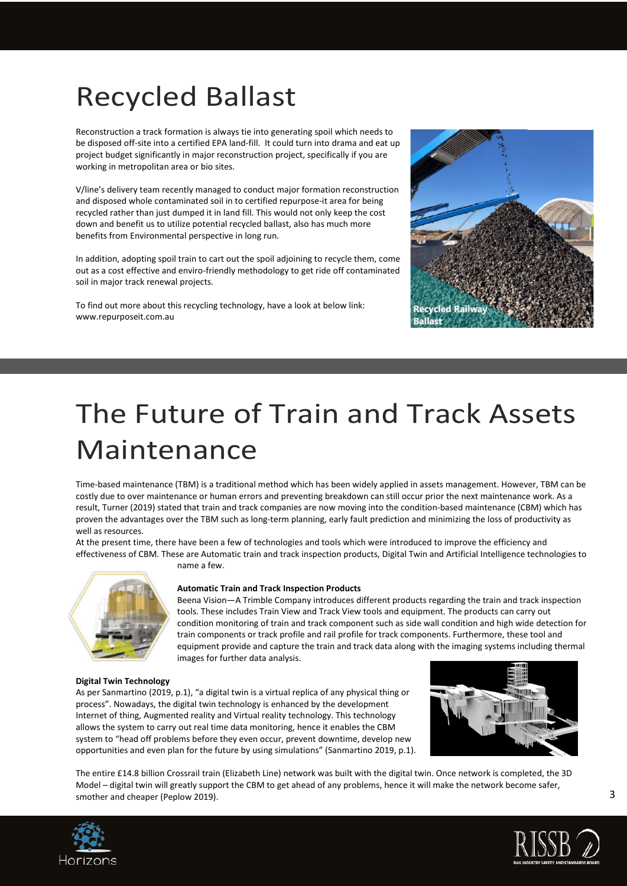## Recycled Ballast

Reconstruction a track formation is always tie into generating spoil which needs to be disposed off-site into a certified EPA land-fill. It could turn into drama and eat up project budget significantly in major reconstruction project, specifically if you are working in metropolitan area or bio sites.

V/line's delivery team recently managed to conduct major formation reconstruction and disposed whole contaminated soil in to certified repurpose-it area for being recycled rather than just dumped it in land fill. This would not only keep the cost down and benefit us to utilize potential recycled ballast, also has much more benefits from Environmental perspective in long run.

In addition, adopting spoil train to cart out the spoil adjoining to recycle them, come out as a cost effective and enviro-friendly methodology to get ride off contaminated soil in major track renewal projects.

To find out more about this recycling technology, have a look at below link: www.repurposeit.com.au

name a few.



## The Future of Train and Track Assets Maintenance

Time-based maintenance (TBM) is a traditional method which has been widely applied in assets management. However, TBM can be costly due to over maintenance or human errors and preventing breakdown can still occur prior the next maintenance work. As a result, Turner (2019) stated that train and track companies are now moving into the condition-based maintenance (CBM) which has proven the advantages over the TBM such as long-term planning, early fault prediction and minimizing the loss of productivity as well as resources.

At the present time, there have been a few of technologies and tools which were introduced to improve the efficiency and effectiveness of CBM. These are Automatic train and track inspection products, Digital Twin and Artificial Intelligence technologies to

#### **Automatic Train and Track Inspection Products**

Beena Vision—A Trimble Company introduces different products regarding the train and track inspection tools. These includes Train View and Track View tools and equipment. The products can carry out condition monitoring of train and track component such as side wall condition and high wide detection for train components or track profile and rail profile for track components. Furthermore, these tool and equipment provide and capture the train and track data along with the imaging systems including thermal images for further data analysis.

#### **Digital Twin Technology**

As per Sanmartino (2019, p.1), "a digital twin is a virtual replica of any physical thing or process". Nowadays, the digital twin technology is enhanced by the development Internet of thing, Augmented reality and Virtual reality technology. This technology allows the system to carry out real time data monitoring, hence it enables the CBM system to "head off problems before they even occur, prevent downtime, develop new opportunities and even plan for the future by using simulations" (Sanmartino 2019, p.1).



The entire £14.8 billion Crossrail train (Elizabeth Line) network was built with the digital twin. Once network is completed, the 3D Model – digital twin will greatly support the CBM to get ahead of any problems, hence it will make the network become safer, smother and cheaper (Peplow 2019).



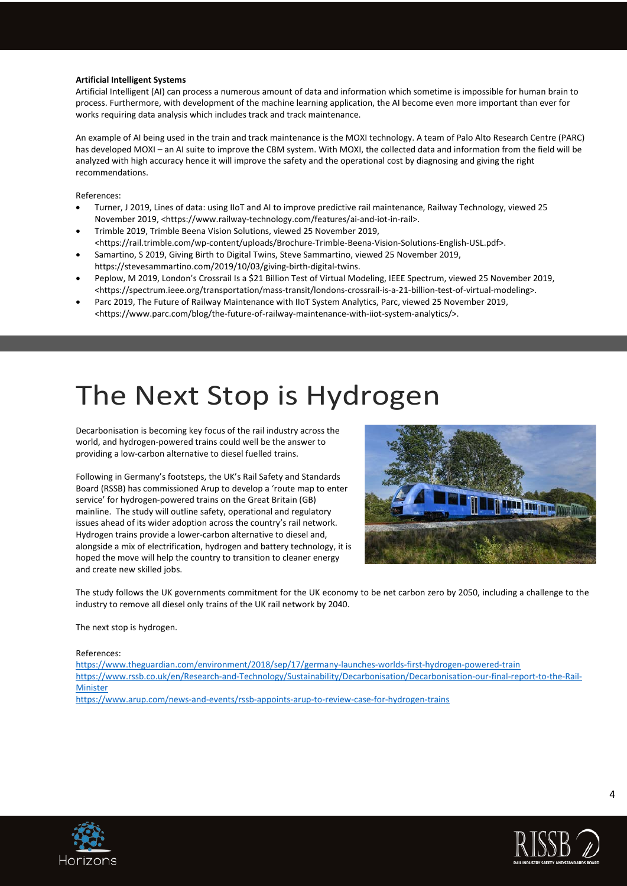#### **Artificial Intelligent Systems**

Artificial Intelligent (AI) can process a numerous amount of data and information which sometime is impossible for human brain to process. Furthermore, with development of the machine learning application, the AI become even more important than ever for works requiring data analysis which includes track and track maintenance.

An example of AI being used in the train and track maintenance is the MOXI technology. A team of Palo Alto Research Centre (PARC) has developed MOXI – an AI suite to improve the CBM system. With MOXI, the collected data and information from the field will be analyzed with high accuracy hence it will improve the safety and the operational cost by diagnosing and giving the right recommendations.

References:

- Turner, J 2019, Lines of data: using IIoT and AI to improve predictive rail maintenance, Railway Technology, viewed 25 November 2019, <https://www.railway-technology.com/features/ai-and-iot-in-rail>.
- Trimble 2019, Trimble Beena Vision Solutions, viewed 25 November 2019, <https://rail.trimble.com/wp-content/uploads/Brochure-Trimble-Beena-Vision-Solutions-English-USL.pdf>.
- Samartino, S 2019, Giving Birth to Digital Twins, Steve Sammartino, viewed 25 November 2019, https://stevesammartino.com/2019/10/03/giving-birth-digital-twins.
- Peplow, M 2019, London's Crossrail Is a \$21 Billion Test of Virtual Modeling, IEEE Spectrum, viewed 25 November 2019, <https://spectrum.ieee.org/transportation/mass-transit/londons-crossrail-is-a-21-billion-test-of-virtual-modeling>.
- Parc 2019, The Future of Railway Maintenance with IIoT System Analytics, Parc, viewed 25 November 2019, <https://www.parc.com/blog/the-future-of-railway-maintenance-with-iiot-system-analytics/>.

### The Next Stop is Hydrogen

Decarbonisation is becoming key focus of the rail industry across the world, and hydrogen-powered trains could well be the answer to providing a low-carbon alternative to diesel fuelled trains.

Following in Germany's footsteps, the UK's Rail Safety and Standards Board (RSSB) has commissioned Arup to develop a 'route map to enter service' for hydrogen-powered trains on the Great Britain (GB) mainline. The study will outline safety, operational and regulatory issues ahead of its wider adoption across the country's rail network. Hydrogen trains provide a lower-carbon alternative to diesel and, alongside a mix of electrification, hydrogen and battery technology, it is hoped the move will help the country to transition to cleaner energy and create new skilled jobs.



The study follows the UK governments commitment for the UK economy to be net carbon zero by 2050, including a challenge to the industry to remove all diesel only trains of the UK rail network by 2040.

The next stop is hydrogen.

#### References:

<https://www.theguardian.com/environment/2018/sep/17/germany-launches-worlds-first-hydrogen-powered-train> [https://www.rssb.co.uk/en/Research-and-Technology/Sustainability/Decarbonisation/Decarbonisation-our-final-report-to-the-Rail-](https://www.rssb.co.uk/en/Research-and-Technology/Sustainability/Decarbonisation/Decarbonisation-our-final-report-to-the-Rail-Minister)[Minister](https://www.rssb.co.uk/en/Research-and-Technology/Sustainability/Decarbonisation/Decarbonisation-our-final-report-to-the-Rail-Minister) <https://www.arup.com/news-and-events/rssb-appoints-arup-to-review-case-for-hydrogen-trains>